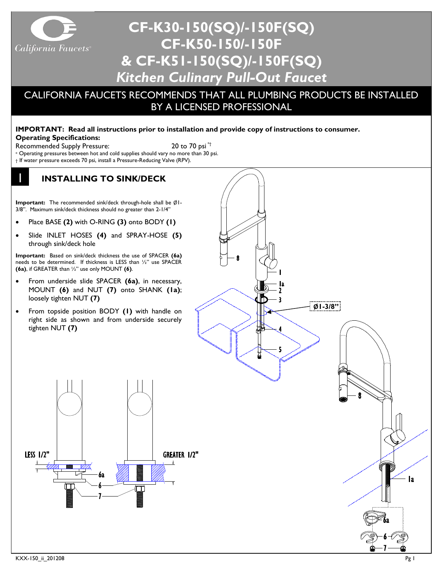

# **CF-K30-150(SQ)/-150F(SQ) CF-K50-150/-150F & CF-K51-150(SQ)/-150F(SQ)** *Kitchen Culinary Pull-Out Faucet*

# CALIFORNIA FAUCETS RECOMMENDS THAT ALL PLUMBING PRODUCTS BE INSTALLED BY A LICENSED PROFESSIONAL

## **IMPORTANT: Read all instructions prior to installation and provide copy of instructions to consumer.**

**Operating Specifications:**

Recommended Supply Pressure: 20 to 70 psi<sup>\*†</sup>

\* Operating pressures between hot and cold supplies should vary no more than 30 psi.

† If water pressure exceeds 70 psi, install a Pressure-Reducing Valve (RPV).

#### 1 **INSTALLING TO SINK/DECK**

**Important:** The recommended sink/deck through-hole shall be Ø1- 3/8". Maximum sink/deck thickness should no greater than 2-1/4"

- Place BASE **(2)** with O-RING **(3)** onto BODY **(1)**
- Slide INLET HOSES **(4)** and SPRAY-HOSE **(5)** through sink/deck hole

**Important:** Based on sink/deck thickness the use of SPACER **(6a)** needs to be determined. If thickness is LESS than ½" use SPACER **(6a)**, if GREATER than ½" use only MOUNT **(6)**.

- From underside slide SPACER **(6a)**, in necessary, MOUNT **(6)** and NUT **(7)** onto SHANK **(1a)**; loosely tighten NUT **(7)**
- From topside position BODY **(1)** with handle on right side as shown and from underside securely tighten NUT **(7)**



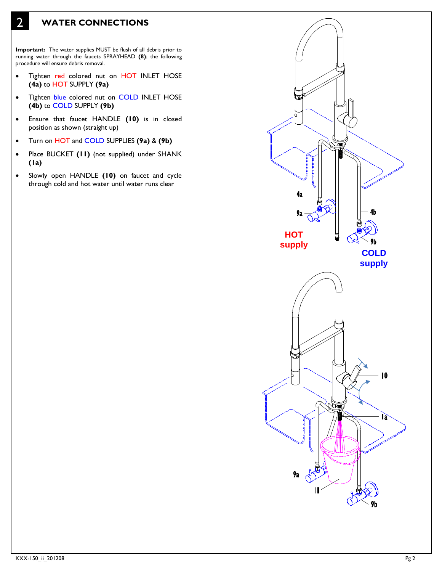# 2 **WATER CONNECTIONS**

**Important:** The water supplies MUST be flush of all debris prior to running water through the faucets SPRAYHEAD **(8)**; the following procedure will ensure debris removal.

- Tighten red colored nut on HOT INLET HOSE **(4a)** to HOT SUPPLY **(9a)**
- Tighten blue colored nut on COLD INLET HOSE **(4b)** to COLD SUPPLY **(9b)**
- Ensure that faucet HANDLE **(10)** is in closed position as shown (straight up)
- Turn on HOT and COLD SUPPLIES **(9a)** & **(9b)**
- Place BUCKET **(11)** (not supplied) under SHANK **(1a)**
- Slowly open HANDLE **(10)** on faucet and cycle through cold and hot water until water runs clear

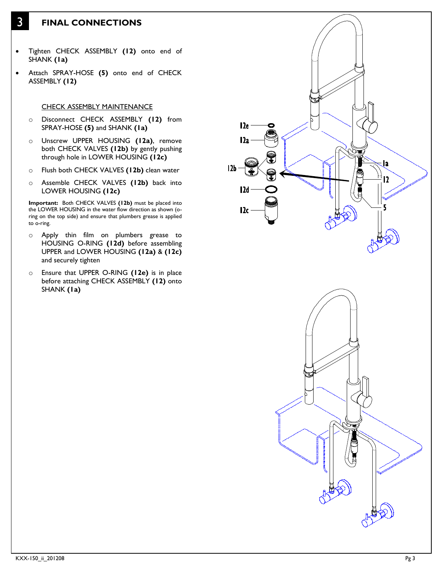### 3 **FINAL CONNECTIONS**

- Tighten CHECK ASSEMBLY **(12)** onto end of SHANK **(1a)**
- Attach SPRAY-HOSE **(5)** onto end of CHECK ASSEMBLY **(12)**

#### CHECK ASSEMBLY MAINTENANCE

- o Disconnect CHECK ASSEMBLY **(12)** from SPRAY-HOSE **(5)** and SHANK **(1a)**
- o Unscrew UPPER HOUSING **(12a)**, remove both CHECK VALVES **(12b)** by gently pushing through hole in LOWER HOUSING **(12c)**
- o Flush both CHECK VALVES **(12b)** clean water
- o Assemble CHECK VALVES **(12b)** back into LOWER HOUSING **(12c)**

**Important:** Both CHECK VALVES **(12b)** must be placed into the LOWER HOUSING in the water flow direction as shown (oring on the top side) and ensure that plumbers grease is applied to o-ring.

- o Apply thin film on plumbers grease to HOUSING O-RING **(12d)** before assembling UPPER and LOWER HOUSING **(12a)** & **(12c)** and securely tighten
- o Ensure that UPPER O-RING **(12e)** is in place before attaching CHECK ASSEMBLY **(12)** onto SHANK **(1a)**